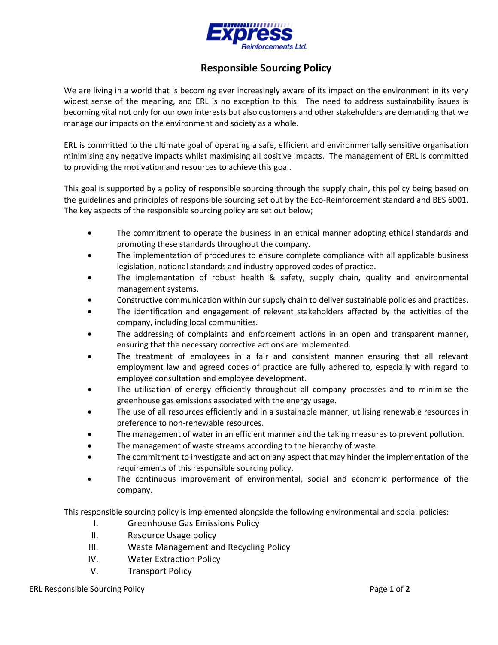

## **Responsible Sourcing Policy**

We are living in a world that is becoming ever increasingly aware of its impact on the environment in its very widest sense of the meaning, and ERL is no exception to this. The need to address sustainability issues is becoming vital not only for our own interests but also customers and other stakeholders are demanding that we manage our impacts on the environment and society as a whole.

ERL is committed to the ultimate goal of operating a safe, efficient and environmentally sensitive organisation minimising any negative impacts whilst maximising all positive impacts. The management of ERL is committed to providing the motivation and resources to achieve this goal.

This goal is supported by a policy of responsible sourcing through the supply chain, this policy being based on the guidelines and principles of responsible sourcing set out by the Eco-Reinforcement standard and BES 6001. The key aspects of the responsible sourcing policy are set out below;

- The commitment to operate the business in an ethical manner adopting ethical standards and promoting these standards throughout the company.
- The implementation of procedures to ensure complete compliance with all applicable business legislation, national standards and industry approved codes of practice.
- The implementation of robust health & safety, supply chain, quality and environmental management systems.
- Constructive communication within our supply chain to deliver sustainable policies and practices.
- The identification and engagement of relevant stakeholders affected by the activities of the company, including local communities.
- The addressing of complaints and enforcement actions in an open and transparent manner, ensuring that the necessary corrective actions are implemented.
- The treatment of employees in a fair and consistent manner ensuring that all relevant employment law and agreed codes of practice are fully adhered to, especially with regard to employee consultation and employee development.
- The utilisation of energy efficiently throughout all company processes and to minimise the greenhouse gas emissions associated with the energy usage.
- The use of all resources efficiently and in a sustainable manner, utilising renewable resources in preference to non-renewable resources.
- The management of water in an efficient manner and the taking measures to prevent pollution.
- The management of waste streams according to the hierarchy of waste.
- The commitment to investigate and act on any aspect that may hinder the implementation of the requirements of this responsible sourcing policy.
- The continuous improvement of environmental, social and economic performance of the company.

This responsible sourcing policy is implemented alongside the following environmental and social policies:

- I. Greenhouse Gas Emissions Policy
- II. Resource Usage policy
- III. Waste Management and Recycling Policy
- IV. Water Extraction Policy
- V. Transport Policy